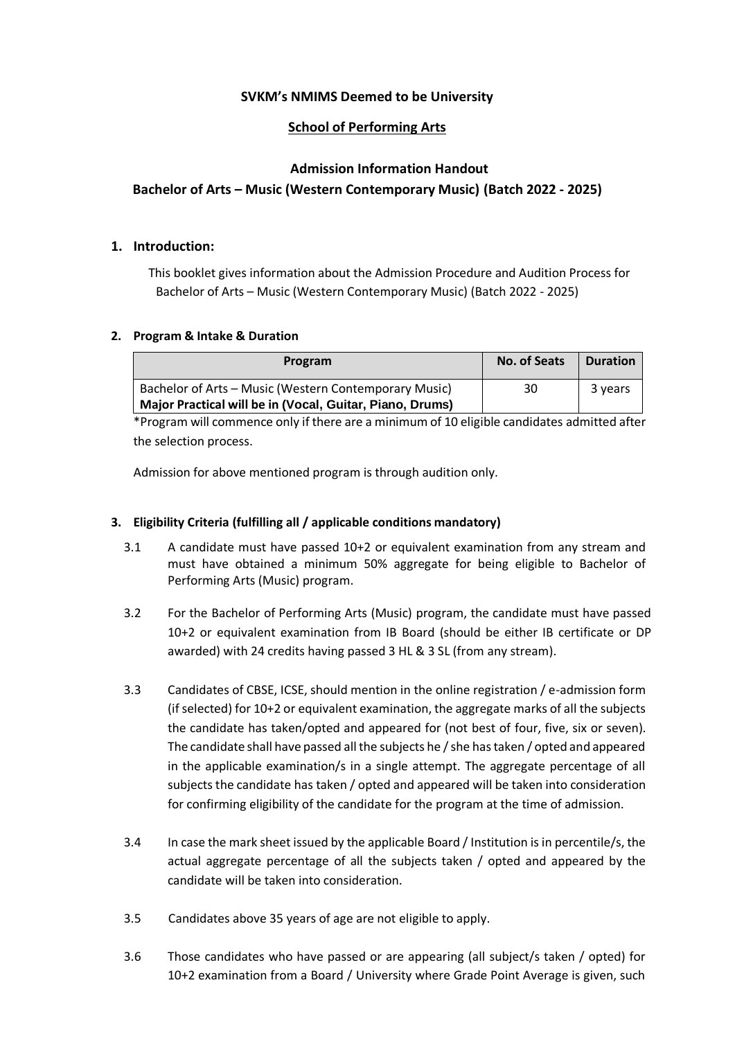## **SVKM's NMIMS Deemed to be University**

## **School of Performing Arts**

# **Admission Information Handout Bachelor of Arts – Music (Western Contemporary Music) (Batch 2022 - 2025)**

## **1. Introduction:**

This booklet gives information about the Admission Procedure and Audition Process for Bachelor of Arts – Music (Western Contemporary Music) (Batch 2022 - 2025)

#### **2. Program & Intake & Duration**

| Program                                                  | <b>No. of Seats</b> | <b>Duration</b> |
|----------------------------------------------------------|---------------------|-----------------|
| Bachelor of Arts – Music (Western Contemporary Music)    | 30                  | 3 years         |
| Major Practical will be in (Vocal, Guitar, Piano, Drums) |                     |                 |

\*Program will commence only if there are a minimum of 10 eligible candidates admitted after the selection process.

Admission for above mentioned program is through audition only.

## **3. Eligibility Criteria (fulfilling all / applicable conditions mandatory)**

- 3.1 A candidate must have passed 10+2 or equivalent examination from any stream and must have obtained a minimum 50% aggregate for being eligible to Bachelor of Performing Arts (Music) program.
- 3.2 For the Bachelor of Performing Arts (Music) program, the candidate must have passed 10+2 or equivalent examination from IB Board (should be either IB certificate or DP awarded) with 24 credits having passed 3 HL & 3 SL (from any stream).
- 3.3 Candidates of CBSE, ICSE, should mention in the online registration / e-admission form (if selected) for 10+2 or equivalent examination, the aggregate marks of all the subjects the candidate has taken/opted and appeared for (not best of four, five, six or seven). The candidate shall have passed all the subjects he / she has taken / opted and appeared in the applicable examination/s in a single attempt. The aggregate percentage of all subjects the candidate has taken / opted and appeared will be taken into consideration for confirming eligibility of the candidate for the program at the time of admission.
- 3.4 In case the mark sheet issued by the applicable Board / Institution is in percentile/s, the actual aggregate percentage of all the subjects taken / opted and appeared by the candidate will be taken into consideration.
- 3.5 Candidates above 35 years of age are not eligible to apply.
- 3.6 Those candidates who have passed or are appearing (all subject/s taken / opted) for 10+2 examination from a Board / University where Grade Point Average is given, such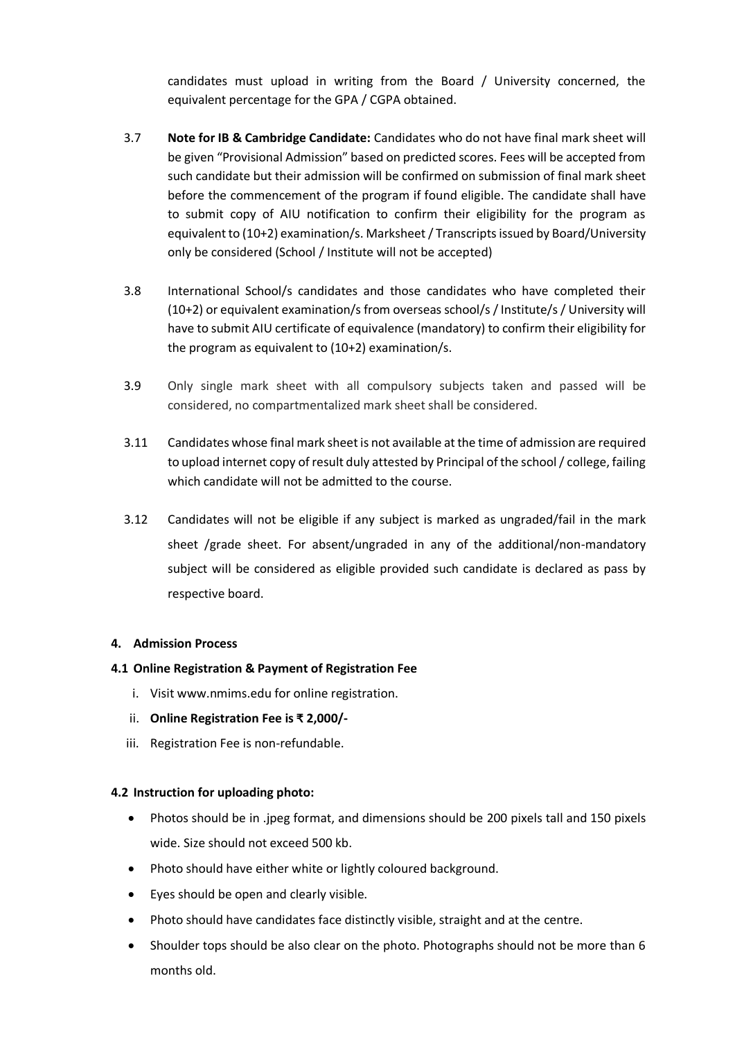candidates must upload in writing from the Board / University concerned, the equivalent percentage for the GPA / CGPA obtained.

- 3.7 **Note for IB & Cambridge Candidate:** Candidates who do not have final mark sheet will be given "Provisional Admission" based on predicted scores. Fees will be accepted from such candidate but their admission will be confirmed on submission of final mark sheet before the commencement of the program if found eligible. The candidate shall have to submit copy of AIU notification to confirm their eligibility for the program as equivalent to (10+2) examination/s. Marksheet/ Transcripts issued by Board/University only be considered (School / Institute will not be accepted)
- 3.8 International School/s candidates and those candidates who have completed their (10+2) or equivalent examination/s from overseas school/s / Institute/s / University will have to submit AIU certificate of equivalence (mandatory) to confirm their eligibility for the program as equivalent to (10+2) examination/s.
- 3.9 Only single mark sheet with all compulsory subjects taken and passed will be considered, no compartmentalized mark sheet shall be considered.
- 3.11 Candidates whose final mark sheet is not available at the time of admission are required to upload internet copy of result duly attested by Principal of the school / college, failing which candidate will not be admitted to the course.
- 3.12 Candidates will not be eligible if any subject is marked as ungraded/fail in the mark sheet /grade sheet. For absent/ungraded in any of the additional/non-mandatory subject will be considered as eligible provided such candidate is declared as pass by respective board.

#### **4. Admission Process**

#### **4.1 Online Registration & Payment of Registration Fee**

- i. Visit www.nmims.edu for online registration.
- ii. **Online Registration Fee is ₹ 2,000/-**
- iii. Registration Fee is non-refundable.

#### **4.2 Instruction for uploading photo:**

- Photos should be in .jpeg format, and dimensions should be 200 pixels tall and 150 pixels wide. Size should not exceed 500 kb.
- Photo should have either white or lightly coloured background.
- Eyes should be open and clearly visible.
- Photo should have candidates face distinctly visible, straight and at the centre.
- Shoulder tops should be also clear on the photo. Photographs should not be more than 6 months old.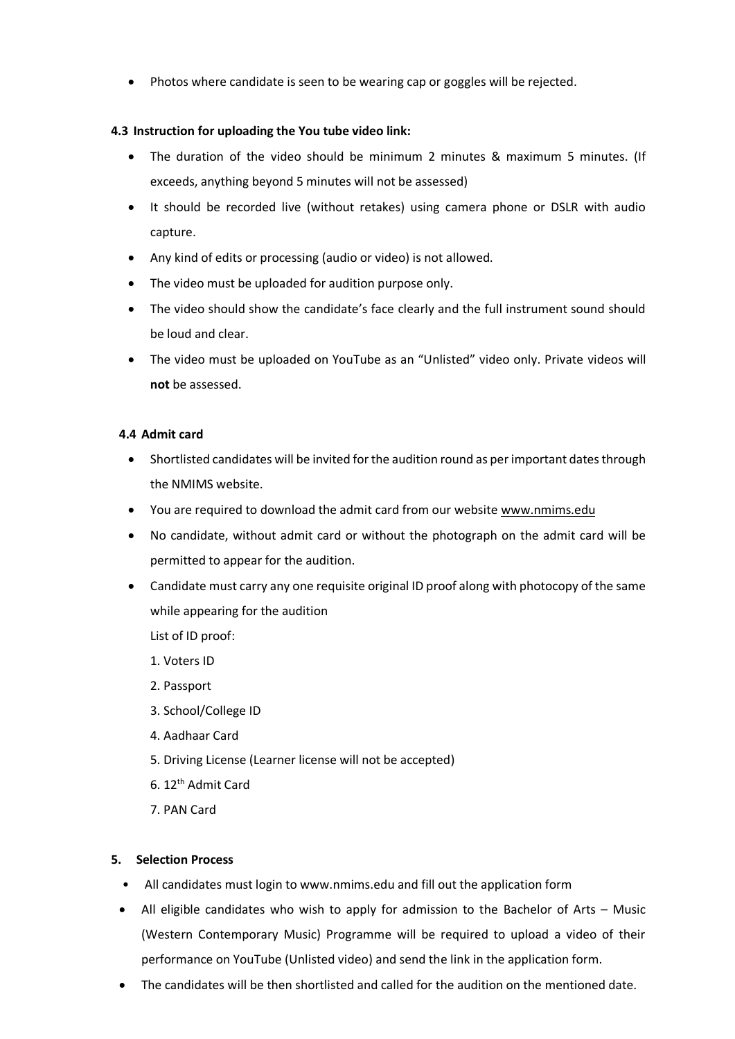Photos where candidate is seen to be wearing cap or goggles will be rejected.

#### **4.3 Instruction for uploading the You tube video link:**

- The duration of the video should be minimum 2 minutes & maximum 5 minutes. (If exceeds, anything beyond 5 minutes will not be assessed)
- It should be recorded live (without retakes) using camera phone or DSLR with audio capture.
- Any kind of edits or processing (audio or video) is not allowed.
- The video must be uploaded for audition purpose only.
- The video should show the candidate's face clearly and the full instrument sound should be loud and clear.
- The video must be uploaded on YouTube as an "Unlisted" video only. Private videos will **not** be assessed.

## **4.4 Admit card**

- Shortlisted candidates will be invited for the audition round as per important dates through the NMIMS website.
- You are required to download the admit card from our website [www.nmims.edu](http://www.nmims.edu/)
- No candidate, without admit card or without the photograph on the admit card will be permitted to appear for the audition.
- Candidate must carry any one requisite original ID proof along with photocopy of the same while appearing for the audition

List of ID proof:

- 1. Voters ID
- 2. Passport
- 3. School/College ID
- 4. Aadhaar Card
- 5. Driving License (Learner license will not be accepted)
- 6. 12th Admit Card
- 7. PAN Card

#### **5. Selection Process**

- All candidates must login to www.nmims.edu and fill out the application form
- All eligible candidates who wish to apply for admission to the Bachelor of Arts Music (Western Contemporary Music) Programme will be required to upload a video of their performance on YouTube (Unlisted video) and send the link in the application form.
- The candidates will be then shortlisted and called for the audition on the mentioned date.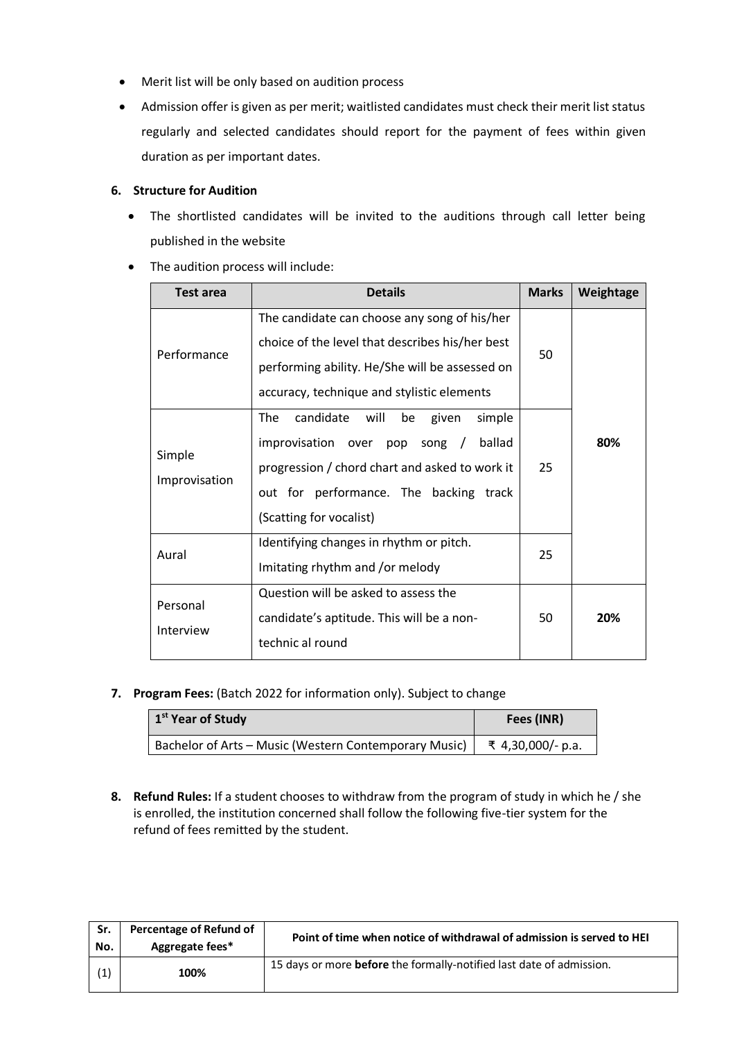- Merit list will be only based on audition process
- Admission offer is given as per merit; waitlisted candidates must check their merit list status regularly and selected candidates should report for the payment of fees within given duration as per important dates.

## **6. Structure for Audition**

- The shortlisted candidates will be invited to the auditions through call letter being published in the website
- The audition process will include:

| Test area                                                                           | <b>Details</b>                                                                                                                                                                                                            | <b>Marks</b> | Weightage |
|-------------------------------------------------------------------------------------|---------------------------------------------------------------------------------------------------------------------------------------------------------------------------------------------------------------------------|--------------|-----------|
| Performance                                                                         | The candidate can choose any song of his/her<br>choice of the level that describes his/her best<br>performing ability. He/She will be assessed on<br>accuracy, technique and stylistic elements                           | 50           |           |
| Simple<br>Improvisation                                                             | candidate<br>The<br>simple<br>will<br>be<br>given<br>improvisation<br>ballad<br>over<br>pop song /<br>progression / chord chart and asked to work it<br>out for performance. The backing track<br>(Scatting for vocalist) | 25           | 80%       |
| Identifying changes in rhythm or pitch.<br>Aural<br>Imitating rhythm and /or melody |                                                                                                                                                                                                                           | 25           |           |
| Personal<br>Interview                                                               | Question will be asked to assess the<br>candidate's aptitude. This will be a non-<br>technic al round                                                                                                                     | 50           | 20%       |

**7. Program Fees:** (Batch 2022 for information only). Subject to change

| 1 <sup>st</sup> Year of Study                         | Fees (INR)        |
|-------------------------------------------------------|-------------------|
| Bachelor of Arts - Music (Western Contemporary Music) | ₹ 4,30,000/- p.a. |

**8. Refund Rules:** If a student chooses to withdraw from the program of study in which he / she is enrolled, the institution concerned shall follow the following five-tier system for the refund of fees remitted by the student.

| Sr.<br>No. | Percentage of Refund of<br>Aggregate fees* | Point of time when notice of withdrawal of admission is served to HEI |
|------------|--------------------------------------------|-----------------------------------------------------------------------|
|            | 100%                                       | 15 days or more before the formally-notified last date of admission.  |